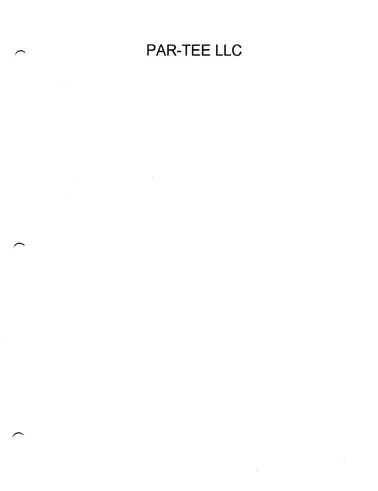# PAR-TEE LLC

 $\bar{\zeta}$ 

 $\mathcal{A}^{\mathcal{A}}$ 

 $\label{eq:2.1} \frac{1}{\sqrt{2}}\int_{\mathbb{R}^3}\frac{1}{\sqrt{2}}\left(\frac{1}{\sqrt{2}}\right)^2\frac{1}{\sqrt{2}}\left(\frac{1}{\sqrt{2}}\right)^2\frac{1}{\sqrt{2}}\left(\frac{1}{\sqrt{2}}\right)^2\frac{1}{\sqrt{2}}\left(\frac{1}{\sqrt{2}}\right)^2.$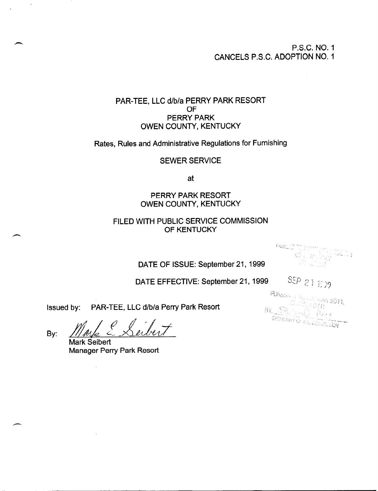## P.S.C. NO. 1 CANCELS P.S.C. ADOPTION NO. 1

# PAR-TEE, LLC d/b/a PERRY PARK RESORT OF PERRY PARK OWEN COUNTY, KENTUCKY

Rates, Rules and Administrative Regulations for Furnishing

#### SEWER SERVICE

at

## PERRY PARK RESORT OWEN COUNTY, KENTUCKY

# FILED WITH PUBLIC SERVICE COMMISSION OF KENTUCKY

rus - I, h (25): 1994년 - 1995년 <del>- 1994</del>

# DATE OF ISSUE: September 21, 1999

DATE EFFECTIVE: September 21, 1999  $\frac{SEP}{21}$  1999

Issued by: PAR-TEE, LLC d/b/a Perry Park Resort

By:

Mark Seibert Manager Perry Park Resort

 $\lambda$ 

 $\mathbf{u}$ 

PUHOLING INC.  $\frac{1.48733011}{1.437}$ William Walland<br>Michigal Official  $\sum_{i=1}^{n} \sum_{i=1}^{n} \sum_{j=1}^{n} \sum_{j=1}^{n} \sum_{j=1}^{n} \sum_{j=1}^{n} \sum_{j=1}^{n} \sum_{j=1}^{n} \sum_{j=1}^{n} \sum_{j=1}^{n} \sum_{j=1}^{n} \sum_{j=1}^{n} \sum_{j=1}^{n} \sum_{j=1}^{n} \sum_{j=1}^{n} \sum_{j=1}^{n} \sum_{j=1}^{n} \sum_{j=1}^{n} \sum_{j=1}^{n} \sum_{j=1}^{n} \sum_{j=1}^{n} \sum_{j=1}^{n}$ BY SER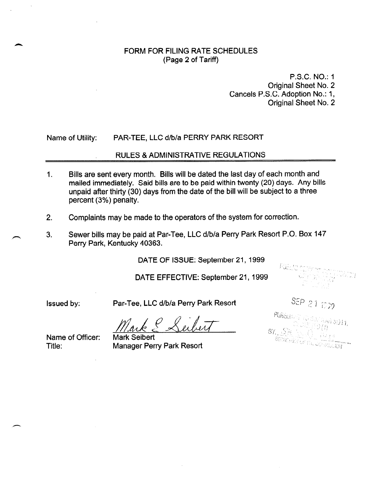#### FORM FOR FILING RATE SCHEDULES (Page 2 of Tariff)

P.S.C. NO.: 1 Original Sheet No. 2 Cancels P.S.C. Adoption No.: 1, Original Sheet No. 2

#### Name of Utility: PAR-TEE, LLC d/b/a PERRY PARK RESORT

#### RULES & ADMINISTRATIVE REGULATIONS

- 1. Bills are sent every month. Bills will be dated the last day of each month and mailed immediately. Said bills are to be paid within twenty (20) days. Any bills unpaid after thirty (30) days from the date of the bill will be subject to a three percent (3%) penalty.
- 2. Complaints may be made to the operators of the system for correction.
- 3. Sewer bills may be paid at Par-Tee, LLC d/b/a Perry Park Resort P.O. Box 147 Perry Park, Kentucky 40363.

DATE OF ISSUE: September 21, 1999

DATE EFFECTIVE: September 21, 1999

A

Issued by: Par-Tee, LLC d/b/a Perry Park Resort

 $\frac{f}{f}$ .

SEP 21 1009 **PURSU**ANT TO 8DY (1969-50011)<br>CELETY TEN VARI 5011)  $\mathbf{R}_{\text{max}} = \mathbf{P} \mathbf{R}_{\text{max}} = \sum_{i=1}^{N} \mathbf{P} \mathbf{P} \mathbf{P} \mathbf{P} \mathbf{P} \mathbf{P} \mathbf{P} \mathbf{P} \mathbf{P} \mathbf{P} \mathbf{P} \mathbf{P} \mathbf{P} \mathbf{P} \mathbf{P} \mathbf{P} \mathbf{P} \mathbf{P} \mathbf{P} \mathbf{P} \mathbf{P} \mathbf{P} \mathbf{P} \mathbf{P} \mathbf{P} \mathbf{P} \mathbf{P} \mathbf{P} \mathbf{P} \mathbf{P}$ 

Pue mi

Name of Officer:

Mark Seibert Manager Perry Park Resort '.'. '>/' ,; Title: : -. " '.. ."..\_ ,.,L 1 ~ L ,' ;: ,i d '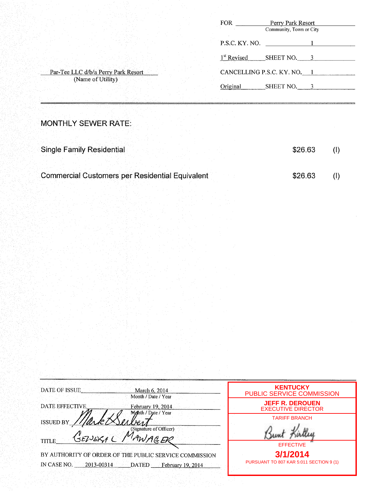|                                     | FOR                     | Perry Park Resort<br>Community, Town or City |  |
|-------------------------------------|-------------------------|----------------------------------------------|--|
|                                     | P.S.C. KY. NO.          |                                              |  |
|                                     | 1 <sup>st</sup> Revised | SHEET NO.                                    |  |
| Par-Tee LLC d/b/a Perry Park Resort |                         | CANCELLING P.S.C. KY. NO. 1                  |  |
| (Name of Utility)                   | Original                | SHEET NO.                                    |  |

**MONTHLY SEWER RATE:** 

| <b>Single Family Residential</b>                       | \$26.63 |  |
|--------------------------------------------------------|---------|--|
|                                                        |         |  |
| <b>Commercial Customers per Residential Equivalent</b> | \$26.63 |  |

| DATE OF ISSUE.<br>March 6, 2014<br>Month / Date / Year                                                                        | <b>KENTUCKY</b><br>PUBLIC SERVICE COMMISSION        |
|-------------------------------------------------------------------------------------------------------------------------------|-----------------------------------------------------|
| <b>DATE EFFECTIVE</b><br>February 19, 2014<br>Month / Date / Year                                                             | <b>JEFF R. DEROUEN</b><br><b>EXECUTIVE DIRECTOR</b> |
| $n_{\rm A}$ ks<br><b>ISSUED BY</b><br>(Signature of Officer)                                                                  | <b>TARIFF BRANCH</b>                                |
| AWAGER<br>SEPIEKA (<br><b>TITLE</b>                                                                                           | <b>EFFECTIVE</b>                                    |
| BY AUTHORITY OF ORDER OF THE PUBLIC SERVICE COMMISSION<br>IN CASE NO.<br>$-2013 - 00314$<br><b>DATED</b><br>February 19, 2014 | 3/1/2014<br>PURSUANT TO 807 KAR 5:011 SECTION 9 (1) |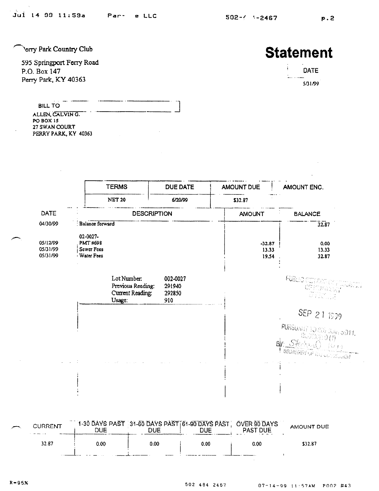**Perry Park Country Club** 

595 Springport Ferry Road P.O. Box 147 Perry Park, KY 40363

# **Statement**

| ļ | DATE    |
|---|---------|
|   |         |
|   | 5/31/99 |

**BILL TO** .-.. .-.-\_. ALLEN, CALVING. PO BOX I5 27 SWAN COURT PERRY PARK. KY 40363



I

| <b>CURRENT</b> | DUE. | 1-30 DAYS PAST 31-60 DAYS PAST [61-90 DAYS PAST] OVER 90 DAYS<br>DUE. | DUE  | <b>PAST DUE</b> | AMOUNT DUE |  |
|----------------|------|-----------------------------------------------------------------------|------|-----------------|------------|--|
| 32.87          | 0.00 | 0.00                                                                  | 0.00 | 0.00            | \$32.87    |  |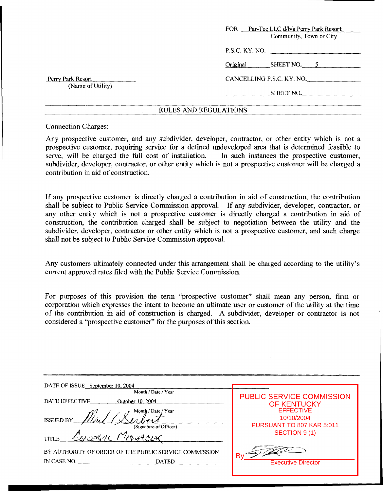|                                        | FOR Par-Tee LLC d/b/a Perry Park Resort<br>Community, Town or City |
|----------------------------------------|--------------------------------------------------------------------|
|                                        | P.S.C. KY. NO.                                                     |
|                                        | Original<br>SHEET NO. 5                                            |
| Perry Park Resort<br>(Name of Utility) | CANCELLING P.S.C. KY. NO.                                          |
|                                        | SHEET NO.                                                          |
|                                        |                                                                    |

#### **RULES** AND **REGULATIONS**

Connection Charges:

Any prospective customer, and any subdivider, developer, contractor, or other entity which is not a prospective customer, requiring service for a defined undeveloped area that is determined feasible to serve, will be charged the full cost of installation. In such instances the prospective customer, subdivider, developer, contractor, or other entity which is not a prospective customer will be charged a contribution in aid of construction.

If any prospective customer is directly charged a contribution in aid of construction, the contribution shall be subject to Public Service Commission approval. If any subdivider, developer, contractor, or any other entity which is not a prospective customer is directly charged a contribution in aid of construction, the contribution charged shall be subject to negotiation between the utility and the subdivider, developer, contractor or other entity which is not a prospective customer, and such charge shall not be subject to Public Service Commission approval.

Any customers ultimately connected under this arrangement shall be charged according to the utility's current approved rates filed with the Public Service Commission.

For purposes of this provision the term "prospective customer'' shall mean any person, firm or corporation which expresses the intent to become an ultimate user or customer of the utility at the time of the contribution in aid of construction is charged. **A** subdivider, developer or contractor is not considered a "prospective customer" for the purposes of this section.

| DATE OF ISSUE September 10, 2004                       |                                  |
|--------------------------------------------------------|----------------------------------|
| Month / Date / Year                                    | <b>PUBLIC SERVICE COMMISSION</b> |
| DATE EFFECTIVE<br>October 10, 2004                     | <b>OF KENTUCKY</b>               |
| Month / Date / Year                                    | <b>EFFECTIVE</b>                 |
| <b>ISSUED BY</b>                                       | 10/10/2004                       |
| (Signature of Officer)                                 | PURSUANT TO 807 KAR 5:011        |
| EDUMAL MANAGLIC<br><b>TITLE</b>                        | SECTION 9(1)                     |
| BY AUTHORITY OF ORDER OF THE PUBLIC SERVICE COMMISSION |                                  |
|                                                        | <b>Executive Director</b>        |
|                                                        |                                  |